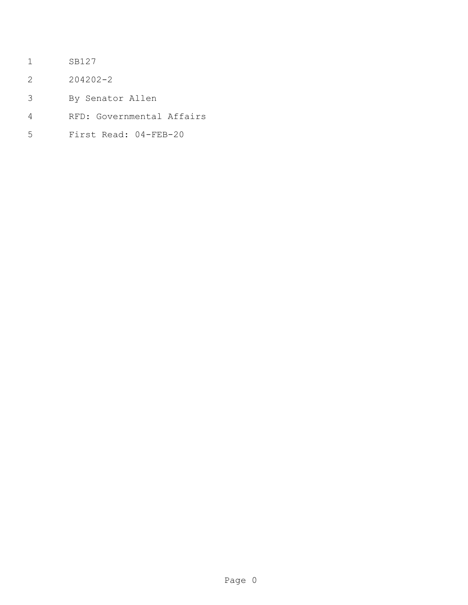- SB127
- 204202-2
- By Senator Allen
- RFD: Governmental Affairs
- First Read: 04-FEB-20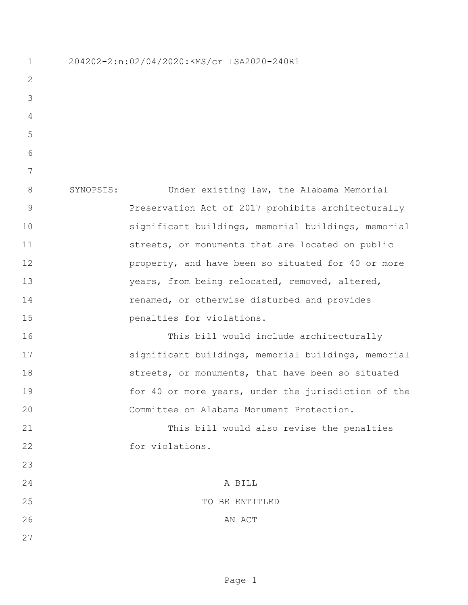204202-2:n:02/04/2020:KMS/cr LSA2020-240R1 SYNOPSIS: Under existing law, the Alabama Memorial Preservation Act of 2017 prohibits architecturally significant buildings, memorial buildings, memorial 11 streets, or monuments that are located on public **property**, and have been so situated for 40 or more years, from being relocated, removed, altered, renamed, or otherwise disturbed and provides **penalties** for violations. This bill would include architecturally significant buildings, memorial buildings, memorial **18** streets, or monuments, that have been so situated for 40 or more years, under the jurisdiction of the Committee on Alabama Monument Protection. This bill would also revise the penalties 22 for violations. A BILL 25 TO BE ENTITLED 26 AN ACT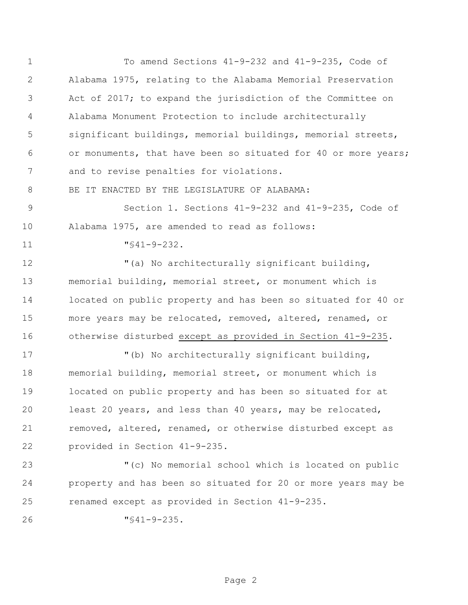| $\mathbf 1$   | To amend Sections 41-9-232 and 41-9-235, Code of               |
|---------------|----------------------------------------------------------------|
| 2             | Alabama 1975, relating to the Alabama Memorial Preservation    |
| 3             | Act of 2017; to expand the jurisdiction of the Committee on    |
| 4             | Alabama Monument Protection to include architecturally         |
| 5             | significant buildings, memorial buildings, memorial streets,   |
| 6             | or monuments, that have been so situated for 40 or more years; |
| 7             | and to revise penalties for violations.                        |
| 8             | BE IT ENACTED BY THE LEGISLATURE OF ALABAMA:                   |
| $\mathcal{G}$ | Section 1. Sections 41-9-232 and 41-9-235, Code of             |
| 10            | Alabama 1975, are amended to read as follows:                  |
| 11            | $\sqrt{941-9-232}$ .                                           |
| 12            | "(a) No architecturally significant building,                  |
| 13            | memorial building, memorial street, or monument which is       |
| 14            | located on public property and has been so situated for 40 or  |
| 15            | more years may be relocated, removed, altered, renamed, or     |
| 16            | otherwise disturbed except as provided in Section 41-9-235.    |
| 17            | "(b) No architecturally significant building,                  |
| 18            | memorial building, memorial street, or monument which is       |
| 19            | located on public property and has been so situated for at     |
| 20            | least 20 years, and less than 40 years, may be relocated,      |
| 21            | removed, altered, renamed, or otherwise disturbed except as    |
| 22            | provided in Section 41-9-235.                                  |
| 23            | "(c) No memorial school which is located on public             |
| 24            | property and has been so situated for 20 or more years may be  |
| 25            | renamed except as provided in Section 41-9-235.                |
| 26            | $\sqrt{941-9-235}$ .                                           |
|               |                                                                |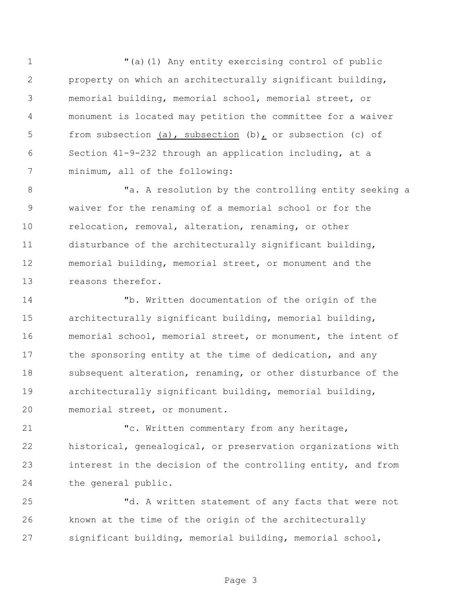"(a)(1) Any entity exercising control of public property on which an architecturally significant building, memorial building, memorial school, memorial street, or monument is located may petition the committee for a waiver from subsection (a), subsection (b), or subsection (c) of Section 41-9-232 through an application including, at a minimum, all of the following:

8 Ta. A resolution by the controlling entity seeking a waiver for the renaming of a memorial school or for the relocation, removal, alteration, renaming, or other disturbance of the architecturally significant building, memorial building, memorial street, or monument and the reasons therefor.

 "b. Written documentation of the origin of the architecturally significant building, memorial building, memorial school, memorial street, or monument, the intent of 17 the sponsoring entity at the time of dedication, and any 18 subsequent alteration, renaming, or other disturbance of the architecturally significant building, memorial building, memorial street, or monument.

 "c. Written commentary from any heritage, historical, genealogical, or preservation organizations with interest in the decision of the controlling entity, and from the general public.

 "d. A written statement of any facts that were not known at the time of the origin of the architecturally significant building, memorial building, memorial school,

Page 3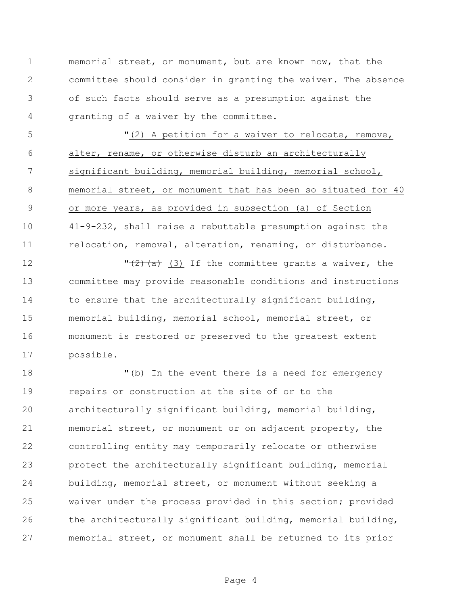memorial street, or monument, but are known now, that the committee should consider in granting the waiver. The absence of such facts should serve as a presumption against the granting of a waiver by the committee.

 "(2) A petition for a waiver to relocate, remove, alter, rename, or otherwise disturb an architecturally significant building, memorial building, memorial school, memorial street, or monument that has been so situated for 40 or more years, as provided in subsection (a) of Section 41-9-232, shall raise a rebuttable presumption against the 11 relocation, removal, alteration, renaming, or disturbance.

 $\sqrt{(2)(a)}$  (3) If the committee grants a waiver, the committee may provide reasonable conditions and instructions 14 to ensure that the architecturally significant building, memorial building, memorial school, memorial street, or monument is restored or preserved to the greatest extent possible.

 "(b) In the event there is a need for emergency repairs or construction at the site of or to the architecturally significant building, memorial building, memorial street, or monument or on adjacent property, the controlling entity may temporarily relocate or otherwise protect the architecturally significant building, memorial building, memorial street, or monument without seeking a waiver under the process provided in this section; provided 26 the architecturally significant building, memorial building, memorial street, or monument shall be returned to its prior

Page 4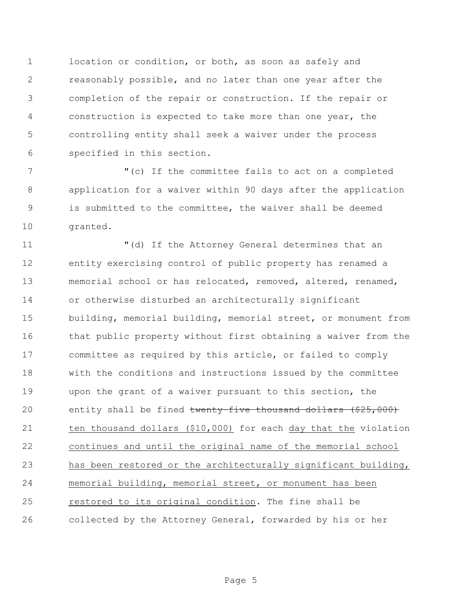location or condition, or both, as soon as safely and reasonably possible, and no later than one year after the completion of the repair or construction. If the repair or construction is expected to take more than one year, the controlling entity shall seek a waiver under the process specified in this section.

 "(c) If the committee fails to act on a completed application for a waiver within 90 days after the application is submitted to the committee, the waiver shall be deemed granted.

 "(d) If the Attorney General determines that an entity exercising control of public property has renamed a memorial school or has relocated, removed, altered, renamed, or otherwise disturbed an architecturally significant building, memorial building, memorial street, or monument from that public property without first obtaining a waiver from the committee as required by this article, or failed to comply with the conditions and instructions issued by the committee upon the grant of a waiver pursuant to this section, the 20 entity shall be fined twenty-five thousand dollars (\$25,000) ten thousand dollars (\$10,000) for each day that the violation continues and until the original name of the memorial school has been restored or the architecturally significant building, memorial building, memorial street, or monument has been restored to its original condition. The fine shall be collected by the Attorney General, forwarded by his or her

Page 5